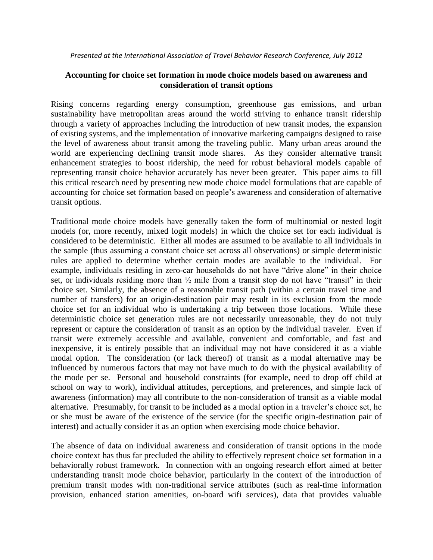## **Accounting for choice set formation in mode choice models based on awareness and consideration of transit options**

Rising concerns regarding energy consumption, greenhouse gas emissions, and urban sustainability have metropolitan areas around the world striving to enhance transit ridership through a variety of approaches including the introduction of new transit modes, the expansion of existing systems, and the implementation of innovative marketing campaigns designed to raise the level of awareness about transit among the traveling public. Many urban areas around the world are experiencing declining transit mode shares. As they consider alternative transit enhancement strategies to boost ridership, the need for robust behavioral models capable of representing transit choice behavior accurately has never been greater. This paper aims to fill this critical research need by presenting new mode choice model formulations that are capable of accounting for choice set formation based on people's awareness and consideration of alternative transit options.

Traditional mode choice models have generally taken the form of multinomial or nested logit models (or, more recently, mixed logit models) in which the choice set for each individual is considered to be deterministic. Either all modes are assumed to be available to all individuals in the sample (thus assuming a constant choice set across all observations) or simple deterministic rules are applied to determine whether certain modes are available to the individual. For example, individuals residing in zero-car households do not have "drive alone" in their choice set, or individuals residing more than  $\frac{1}{2}$  mile from a transit stop do not have "transit" in their choice set. Similarly, the absence of a reasonable transit path (within a certain travel time and number of transfers) for an origin-destination pair may result in its exclusion from the mode choice set for an individual who is undertaking a trip between those locations. While these deterministic choice set generation rules are not necessarily unreasonable, they do not truly represent or capture the consideration of transit as an option by the individual traveler. Even if transit were extremely accessible and available, convenient and comfortable, and fast and inexpensive, it is entirely possible that an individual may not have considered it as a viable modal option. The consideration (or lack thereof) of transit as a modal alternative may be influenced by numerous factors that may not have much to do with the physical availability of the mode per se. Personal and household constraints (for example, need to drop off child at school on way to work), individual attitudes, perceptions, and preferences, and simple lack of awareness (information) may all contribute to the non-consideration of transit as a viable modal alternative. Presumably, for transit to be included as a modal option in a traveler's choice set, he or she must be aware of the existence of the service (for the specific origin-destination pair of interest) and actually consider it as an option when exercising mode choice behavior.

The absence of data on individual awareness and consideration of transit options in the mode choice context has thus far precluded the ability to effectively represent choice set formation in a behaviorally robust framework. In connection with an ongoing research effort aimed at better understanding transit mode choice behavior, particularly in the context of the introduction of premium transit modes with non-traditional service attributes (such as real-time information provision, enhanced station amenities, on-board wifi services), data that provides valuable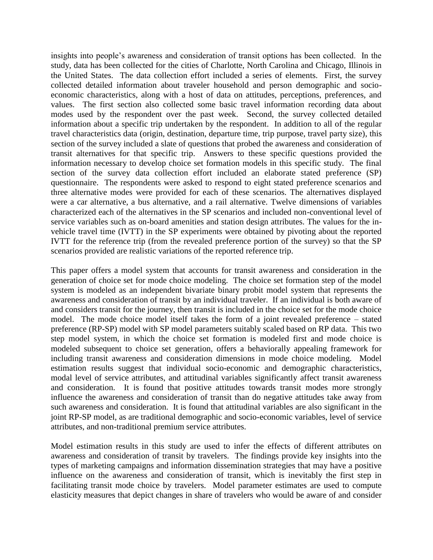insights into people's awareness and consideration of transit options has been collected. In the study, data has been collected for the cities of Charlotte, North Carolina and Chicago, Illinois in the United States. The data collection effort included a series of elements. First, the survey collected detailed information about traveler household and person demographic and socioeconomic characteristics, along with a host of data on attitudes, perceptions, preferences, and values. The first section also collected some basic travel information recording data about modes used by the respondent over the past week. Second, the survey collected detailed information about a specific trip undertaken by the respondent. In addition to all of the regular travel characteristics data (origin, destination, departure time, trip purpose, travel party size), this section of the survey included a slate of questions that probed the awareness and consideration of transit alternatives for that specific trip. Answers to these specific questions provided the information necessary to develop choice set formation models in this specific study. The final section of the survey data collection effort included an elaborate stated preference (SP) questionnaire. The respondents were asked to respond to eight stated preference scenarios and three alternative modes were provided for each of these scenarios. The alternatives displayed were a car alternative, a bus alternative, and a rail alternative. Twelve dimensions of variables characterized each of the alternatives in the SP scenarios and included non-conventional level of service variables such as on-board amenities and station design attributes. The values for the invehicle travel time (IVTT) in the SP experiments were obtained by pivoting about the reported IVTT for the reference trip (from the revealed preference portion of the survey) so that the SP scenarios provided are realistic variations of the reported reference trip.

This paper offers a model system that accounts for transit awareness and consideration in the generation of choice set for mode choice modeling. The choice set formation step of the model system is modeled as an independent bivariate binary probit model system that represents the awareness and consideration of transit by an individual traveler. If an individual is both aware of and considers transit for the journey, then transit is included in the choice set for the mode choice model. The mode choice model itself takes the form of a joint revealed preference – stated preference (RP-SP) model with SP model parameters suitably scaled based on RP data. This two step model system, in which the choice set formation is modeled first and mode choice is modeled subsequent to choice set generation, offers a behaviorally appealing framework for including transit awareness and consideration dimensions in mode choice modeling. Model estimation results suggest that individual socio-economic and demographic characteristics, modal level of service attributes, and attitudinal variables significantly affect transit awareness and consideration. It is found that positive attitudes towards transit modes more strongly influence the awareness and consideration of transit than do negative attitudes take away from such awareness and consideration. It is found that attitudinal variables are also significant in the joint RP-SP model, as are traditional demographic and socio-economic variables, level of service attributes, and non-traditional premium service attributes.

Model estimation results in this study are used to infer the effects of different attributes on awareness and consideration of transit by travelers. The findings provide key insights into the types of marketing campaigns and information dissemination strategies that may have a positive influence on the awareness and consideration of transit, which is inevitably the first step in facilitating transit mode choice by travelers. Model parameter estimates are used to compute elasticity measures that depict changes in share of travelers who would be aware of and consider